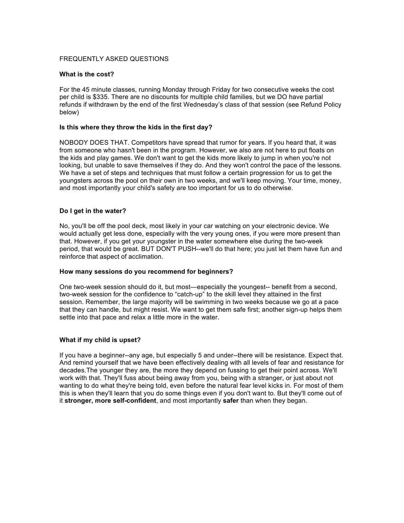# FREQUENTLY ASKED QUESTIONS

### **What is the cost?**

For the 45 minute classes, running Monday through Friday for two consecutive weeks the cost per child is \$335. There are no discounts for multiple child families, but we DO have partial refunds if withdrawn by the end of the first Wednesday's class of that session (see Refund Policy below)

#### **Is this where they throw the kids in the first day?**

NOBODY DOES THAT. Competitors have spread that rumor for years. If you heard that, it was from someone who hasn't been in the program. However, we also are not here to put floats on the kids and play games. We don't want to get the kids more likely to jump in when you're not looking, but unable to save themselves if they do. And they won't control the pace of the lessons. We have a set of steps and techniques that must follow a certain progression for us to get the youngsters across the pool on their own in two weeks, and we'll keep moving. Your time, money, and most importantly your child's safety are too important for us to do otherwise.

#### **Do I get in the water?**

No, you'll be off the pool deck, most likely in your car watching on your electronic device. We would actually get less done, especially with the very young ones, if you were more present than that. However, if you get your youngster in the water somewhere else during the two-week period, that would be great. BUT DON'T PUSH--we'll do that here; you just let them have fun and reinforce that aspect of acclimation.

#### **How many sessions do you recommend for beginners?**

One two-week session should do it, but most—especially the youngest-- benefit from a second, two-week session for the confidence to "catch-up" to the skill level they attained in the first session. Remember, the large majority will be swimming in two weeks because we go at a pace that they can handle, but might resist. We want to get them safe first; another sign-up helps them settle into that pace and relax a little more in the water.

## **What if my child is upset?**

If you have a beginner--any age, but especially 5 and under--there will be resistance. Expect that. And remind yourself that we have been effectively dealing with all levels of fear and resistance for decades.The younger they are, the more they depend on fussing to get their point across. We'll work with that. They'll fuss about being away from you, being with a stranger, or just about not wanting to do what they're being told, even before the natural fear level kicks in. For most of them this is when they'll learn that you do some things even if you don't want to. But they'll come out of it **stronger, more self-confident**, and most importantly **safer** than when they began.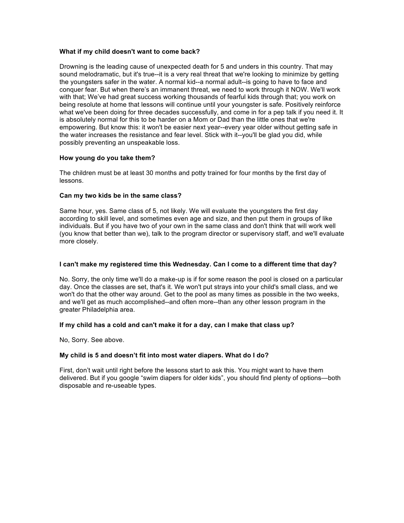# **What if my child doesn't want to come back?**

Drowning is the leading cause of unexpected death for 5 and unders in this country. That may sound melodramatic, but it's true--it is a very real threat that we're looking to minimize by getting the youngsters safer in the water. A normal kid--a normal adult--is going to have to face and conquer fear. But when there's an immanent threat, we need to work through it NOW. We'll work with that; We've had great success working thousands of fearful kids through that; you work on being resolute at home that lessons will continue until your youngster is safe. Positively reinforce what we've been doing for three decades successfully, and come in for a pep talk if you need it. It is absolutely normal for this to be harder on a Mom or Dad than the little ones that we're empowering. But know this: it won't be easier next year--every year older without getting safe in the water increases the resistance and fear level. Stick with it--you'll be glad you did, while possibly preventing an unspeakable loss.

# **How young do you take them?**

The children must be at least 30 months and potty trained for four months by the first day of lessons.

# **Can my two kids be in the same class?**

Same hour, yes. Same class of 5, not likely. We will evaluate the youngsters the first day according to skill level, and sometimes even age and size, and then put them in groups of like individuals. But if you have two of your own in the same class and don't think that will work well (you know that better than we), talk to the program director or supervisory staff, and we'll evaluate more closely.

# **I can't make my registered time this Wednesday. Can I come to a different time that day?**

No. Sorry, the only time we'll do a make-up is if for some reason the pool is closed on a particular day. Once the classes are set, that's it. We won't put strays into your child's small class, and we won't do that the other way around. Get to the pool as many times as possible in the two weeks, and we'll get as much accomplished--and often more--than any other lesson program in the greater Philadelphia area.

## **If my child has a cold and can't make it for a day, can I make that class up?**

No, Sorry. See above.

## **My child is 5 and doesn't fit into most water diapers. What do I do?**

First, don't wait until right before the lessons start to ask this. You might want to have them delivered. But if you google "swim diapers for older kids", you should find plenty of options—both disposable and re-useable types.